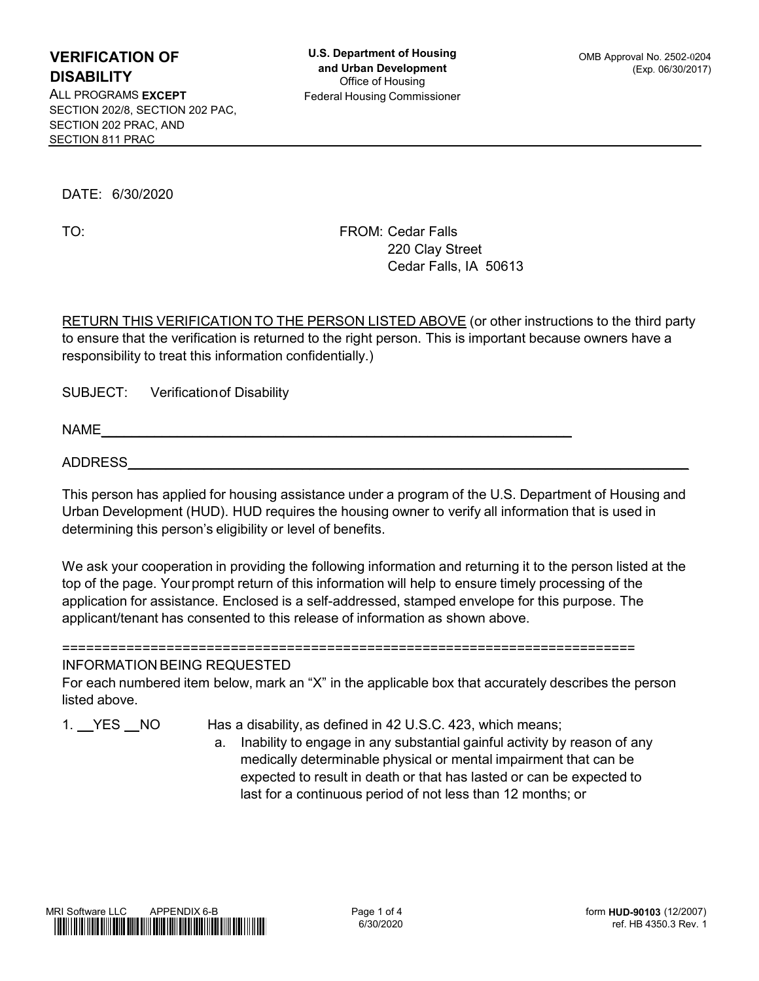ALL PROGRAMS EXCEPT Federal Housing Commissioner SECTION 202/8, SECTION 202 PAC, SECTION 202 PRAC, AND SECTION 811 PRAC ERIFICATION OF<br>
SABILITY<br>
SABILITY<br>
LE PROGRAMS EXCEPT<br>
CETION 202 PRAC, AND<br>
CETION 202 PRAC, AND<br>
CETION 311 PRAC<br>
DATE: 6/30/2020<br>
TO:<br>
FROM: Cedar Falls<br>
220 Clay Street<br>
Cedar Falls, 1A 5061;<br>
CETION 811 PRAC

TO:

FROM: Cedar Falls **FROM:** Cedar Falls 220 Clay Street Cedar Falls, IA 50613

**ERIFICATION OF**<br> **EXABILITY**<br> **CHABOLITY**<br> **CHABOLITY**<br> **CHABOVE EXCEPT**<br> **CHABOVE EXCEPT**<br> **CHABOVE EXCEPT**<br> **CHABOVE 220 CIN STARC**<br> **CHABOVE (OR OR PARTY)**<br> **CHABOVE (OR PARTY)**<br> **CHABOVE (OR PARTY)**<br> **CHABOVE (OR PART ERIFICATION OF**<br> **U.S. Department of Housing**<br> **CHEILITY** and Urban Development<br>
CRIGING EXCEPT<br>
CRIGING TO AND PAC,<br>
CETION 2021, RECTION 202 PRAC.<br>
CETION 2022, PRAC.<br>
DATE: 6/30/2020<br> **DATE:** 6/30/2020<br> **PROM:** Cedar F ERIFICATION OF<br>
SABILITY and Urban Development<br>
LPROGRAMS EXCEPT<br>
LPROGRAMS EXCEPT (Exp. 06/30/2<br>
CCTION 2029, SECTION 202 PAC,<br>
CCTION 2019 PRAC.<br>
CCTION 2019 PRAC.<br>
DATE: 6/30/2020<br>
TO: FROM: Cedar Falls, IA 50613<br>
PROM:

SUBJECT: Verificationof Disability

 $NAME$ 

DATE: 6/30/2020<br>
TO: FROM: Cedar Falls<br>
220 Clay Street<br>
Cedar Falls, IA 50613<br>
RETURN THIS VERIFICATION TO THE PERSON LISTED ABOVE (or other instructions to the third party<br>
to ensure that the verification is returned to DATE: 6/30/2020<br>
TO: FROM: Cedar Falls<br>
220 Clay Street<br>
220 Clay Street<br>
220 Clay Street<br>
220 Clay Street<br>
220 Clay Street<br>
220 Clay Street<br>
220 Clay Street<br>
220 Clay Street<br>
220 Clay Street<br>
220 Clay Street<br>
220 Clay Str

TO:<br>
FROM: Cedar Falls, IA 50613<br>
CETURN THIS VERIFICATION TO THE PERSON LISTED ABOVE (or other instructions to the third party<br>
to ensure that the verification is returned to the right person. This is important because ow 220 Clay Street<br>
Cedar Falls, IA 50613<br>
RETURN THIS VERIFICATION TO THE PERSON LISTED ABOVE (or other instructions to the third party<br>
to ensure that the werification is returned to the right person. This is important beca Cedar Falls, IA 50613<br>
SETURN THIS VERIFICATION TO THE PERSON LISTED ABOVE (or other instructions to the third party<br>
to ensure that the verification is returned to the right person. This is important because owners have a **RETURN THIS VERIFICATION TO THE PERSON LISTED ABOVE** (or other instructions to the third party<br>to ensure that the verification is returned to the right person. This is important because owners have a<br>responsibility to tre RETURN THIS VERIFICATION TO THE PERSON LISTED ABOVE (or other instructions to the third party<br>to ensure that the verification is returned to the right person. This is important because owners have a<br>responsibility to treat is ensus an interesting to the matter of the unity persons. This is important costal<br>responsibility to treat this information confidentially.)<br>SUBJECT: Verification of Disability<br>NAME<br>ADDRESS<br>ADDRESS<br>ADDRESS<br>ADDRESS<br>ADDRES For each number of Disability<br>
SUBJECT: Verification of Disability<br>
ADDRESS<br>
This person has applied for housing assistance under a program of the U.S. Department of Housing and<br>
Urban Development (HUD). HUD requires the h SUBJECT: Verification of Disability<br>
ADDRESS<br>
This person has applied for housing assistance under a program of the U.<br>
Urban Development (HUD). HUD requires the housing owner to verify all if<br>
determining this person's el NAME<br>
1. YES NO HAS A applied for housing assistance under a program of the U.S. Department of Housing and<br>
1. Urban Development (HUD). HUD requires the housing owner to verify all information that is used in<br>
1. We ask yo a. Inability to engage in any substantial gainful activity by resolutions and expected to results of the person issued in eligibility or level of benefits.<br>
In providing the following information and returning it to the pe musing assistance under a program of the U.S. Department of Housing and<br>
UUID requires the housing owner to verify all information that is used in<br>
bility or level of benefits.<br>
coviding the following information and retur busing assistance under a program of the U.S. Department of Housing and<br>
UUD requires the housing owner to verify all information that is used in<br>
bility or level of benefits.<br>
coviding the following information and return busing assistance under a program of the U.S. Department of Housing and<br>
UUD requires the housing owner to verify all information that is used in<br>
bility or level of benefits.<br>
coviding the following information and return

MRI Software LLC form HUD-90103 (12/2007) ----<br>
The person<br>
of any<br>
n be<br>
ed to<br>
HUD-90103 (12/2007)<br>
ref. HB 4350.3 Rev. 1

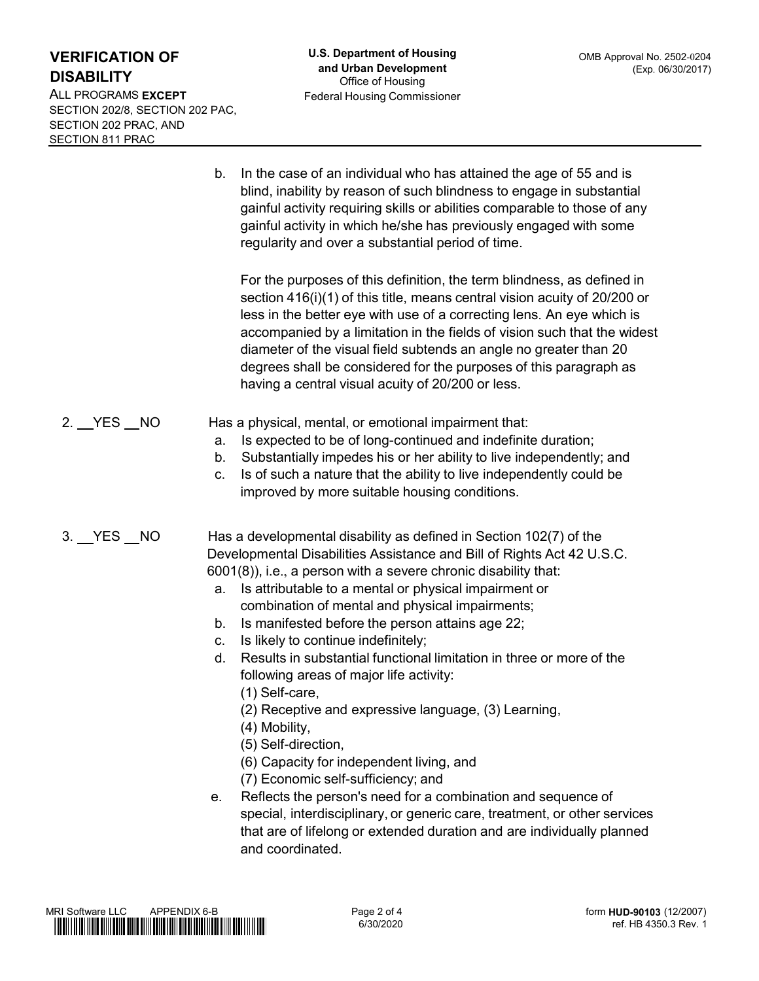ALL PROGRAMS EXCEPT SECTION 202/8, SECTION 202 PAC, SECTION 202 PRAC, AND SECTION 811 PRAC

**U.S. Department of Housing**<br>
and Urban Development<br>
Office of Housing<br>
Federal Housing Commissioner<br>
Pederal Housing Commissioner<br>
D.<br>
In the case of an individual who has attained the age of 55 and is<br>
blind, inability b U.S. Department of Housing<br>
and Urban Development<br>
OMB Approval No. 2502-0204<br>
Office of Housing<br>
Federal Housing Commissioner<br>
In the case of an individual who has attained the age of 55 and is<br>
blind, inability by reason U.S. Department of Housing<br>
and Urban Development<br>
office of Housing<br>
Federal Housing Commissioner<br>
Federal Housing Commissioner<br>
In the case of an individual who has attained the age of 55 and is<br>
blind, inability by reas **U.S. Department of Housing** OMB Approval No. 2502-0204<br>
and Urban Development<br>
Office of Housing<br>
Federal Housing Commissioner<br>
In the case of an individual who has attained the age of 55 and is<br>
blind, inability by reas **U.S. Department of Housing** OMB Approval No. 2502-0204<br>
and Urban Development<br>
Office of Housing<br>
Federal Housing Commissioner<br> **Federal Housing Commissioner**<br> **In the case of an individual who has attained the age of 55** 

**U.S. Department of Housing**<br>
and Urban Development<br>
Office of Housing<br>
Federal Housing Commissioner<br>
Federal Housing Commissioner<br>
In the case of an individual who has attained the age of 55 and is<br>
blind, inability by r **U.S. Department of Housing**<br>
and Urban Development<br>
Office of Housing<br>
Federal Housing Commissioner<br>
Federal Housing Commissioner<br>
In the case of an individual who has attained the age of 55 and is<br>
blind, inability by r U.S. Department of Housing<br>
and Urban Development<br>
offices of Housing<br>
offices of a correction of Housing<br>
Federal Housing Commissioner<br>
In the case of an individual who has attained the age of 55 and is<br>
bilind, inabilit U.S. Department of Housing<br>
and Urban Development<br>
officioning<br>
officioning<br>
officioning Commissioner<br>
Federal Housing Commissioner<br>
In the case of an individual who has attained the age of 55 and is<br>
by a limitativity by U.S. Department of Housing<br>
and Urban Development<br>
office of Housing<br>
office of Housing<br>
Federal Housing Commissioner<br>
In the case of an individual who has attained the age of 55 and is<br>
blind, inability by reason of such U.S. Department of Housing<br>
and Urban Development<br>
office of Folusing<br>
Federal Housing Commissioner<br>
Federal Housing Commissioner<br>
In the case of an individual who has attained the age of 55 and is<br>
lighting, inability by and Urban Development<br>
Federal Housing Commissioner<br>
Federal Housing Commissioner<br>
In the case of an individual who has attained the age of 55 and is<br>
blind, inability by reason of such blindness to engage in substantial<br> 2.  $\text{ZFCN}$  2.  $\text{ZFCN}$ <br>
2. The state of an individual who has attained the age of 55 and is<br>
2. CTION 811 PRAC<br>
2.  $\text{DNN}$  and  $\text{DNN}$  be reason of such blindeness to engage in substantial<br>
2.  $\text{dmin}$  and  $\text{dmin}$  a b. In the case of an individual who has attained the age of 55 and is<br>blind, inability by reason of such bilndness to engage in substantial<br>gainful activity requiring skills or abilities comparable to those of any<br>gainful b. In the case of an individual who has attained the age of 55 and is blind, inability by reason of such bilindenss to engage in substantial gainful activity requiring skills or abilities comparable to those of any gainfu b. In the case of an individual who has attained the age of 55 and is<br>blind, inability by reason of such blindness to engage in substantial<br>gainful activity requiring skills or abilities comparable to those of any<br>gainful In the case of an individual who has attained the age of 55 and is<br>blind, inability by reason of such blindness to engage in substantial<br>gainful activity requiring skills or abilities comparable to those of any<br>gainful ac 3. Supplied to the purposes of this discussion of the David Computer and the David Computer and the purposes of this definition, the term bindness, as defined in section 416((1) of this title, means central vision acuity between the the state of this ameterial of the term blindness, as defined in<br>section 416(i)(1) of this title, means central vision acuity of 20/200 or<br>less in the better eye with use of a correcting lens. An eye which is<br>a From the purposes of this definition, the term blindness, as defined in<br>section 416(i)(1) of this tittle, means central vision acuity of 20/200 or<br>less in the better eye with use of a correcting lens. An eye which is<br>acco For the purposes of this definition, the term blindness, as defined in<br>section 416(i)(1) of this title, means central vision acuity of 20/200 or<br>less in the better eye with use of a correcting lens. An eye which is<br>accomp For the purposes of that seminonit, the fermi bundiness, as defined in<br>section 416(i)(1) of this title, means central vision acuity of 20/200 or<br>less in the better eye with use of a correcting lens. An eye which is<br>accomp become the vising the main search was the solution of a correcting lens. An eye which is accompanied by a limitation in the fields of vision such that the widest diameter of the visual field subtends an angle no greater th essar in exercit eye wint as or a conventing relation in the year wind the widest<br>diameter of the visual field subtends an angle no greater than 20<br>degrees shall be considered for the purposes of this paragraph as<br>having a accomplemental of the visual field subtends an angle no greater than 20<br>digneter of the visual field subtends an angle no greater than 20<br>degrees shall be considered for the purposes of this paragraph as<br>having a central v

- -
	-
	-
- dameter of the wasaried such that all denotes are any the degrees shall be considered for the purposes of this paragraph as<br>having a central visual acuity of 20/200 or less.<br>a physical, mental, or emotional impairment that naving a central visual actory of 20/200 of ress.<br>
a physical, mental, or emotional impairment that:<br>
Is expected to be of long-continued and indefinite duration;<br>
Substantially impedes his or her ability to live independe
	-
	-
	-
	- - (1) Self-care,
		-
		- (4) Mobility,
		- (5) Self-direction,
		-
		-
- is expected to be of nong-continued and intentinite duration;<br>Substantially impedes his or her ability to live independently; and<br>Is of such a nature that the ability to live independently could be<br>improved by more suitabl Substantially impease ins or ner ability to live independently could be<br>lis of such a nature that the ability to live independently could be<br>improved by more suitable housing conditions.<br>
A developmental disability as defi c. Is of such a nature that the ability to live independently could be<br>improved by more suitable housing conditions.<br>As a developmental disability as defined in Section 102(7) of the<br>Developmental Disabilities Assistance a mproved by more suitable nousing conditions.<br>
a developmental disability as defined in Section 102(7) of the<br>
opmental Disabilities Assistance and Bill of Rights Act 42 U.S.C.<br>
8)), i.e., a person with a severe chronic dis a developmental disability as defined in Section 102(7) of the<br>olopmental Disabilities Assistance and Bill of Rights Act 42 U.S.C.<br>(8)), i.e., a person with a severe chronic disability that:<br>Is attributable to a mental or and coordinated. a. is affinious to a mental or physical impairments;<br>
combination of mental and physical impairments;<br>
b. Is manifested before the person attains age 22;<br>
c. is likely to continue indefinitely;<br>
d. Results in substantial ref. 1<br>Frances<br>Frances<br>And the same of the 4350.3 Rev. 1<br>The 4350.3 Rev. 1

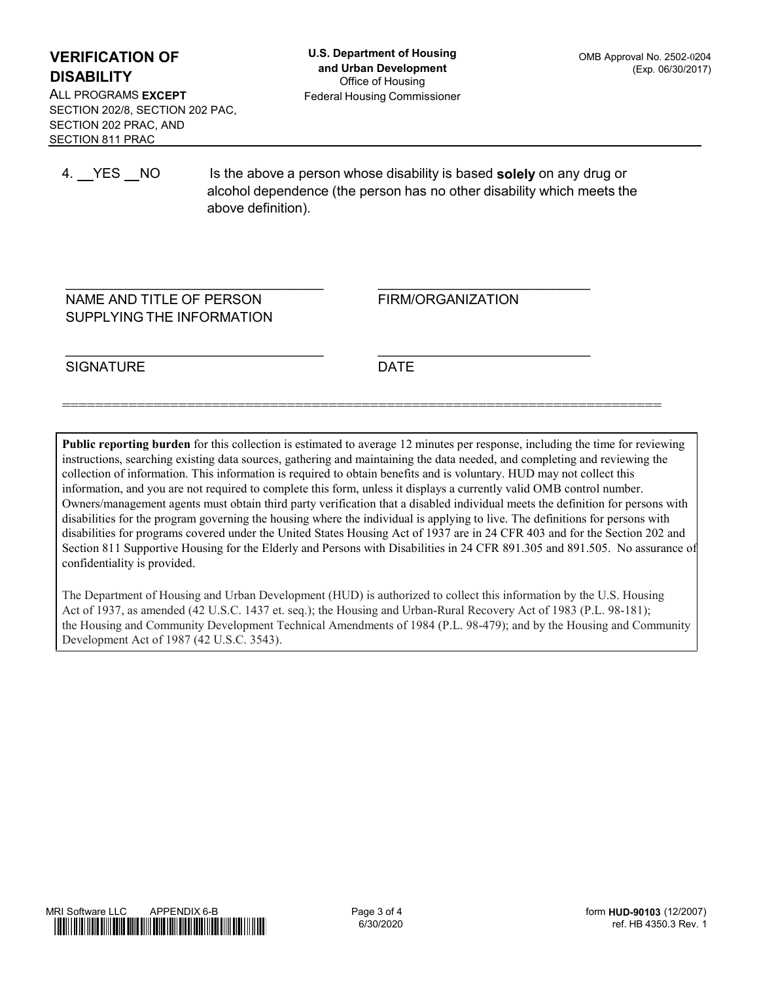ALL PROGRAMS EXCEPT SECTION 202/8, SECTION 202 PAC, SECTION 202 PRAC, AND SECTION 811 PRAC

 $\mathcal{L}_\text{max}$  , we can assume that the contract of  $\mathcal{L}_\text{max}$ 

 $\mathcal{L}_\text{max}$  , we can assume that the contract of  $\mathcal{L}_\text{max}$ 

ERIFICATION OF<br>
4. Department of Housing<br>
SABILITY<br>
1. PROGRAMS EXCEPT<br>
1. PROGRAMS EXCEPT<br>
CITON 202 PRAC, AND<br>
CITON 202 PRAC, AND<br>
4. YES NO Is the above a person whose disability is based **solely** on any drug or<br>
4. YE **U.S. Department of Housing**<br>
and Urban Development<br>
office of Housing<br>
Federal Housing Commissioner<br>
Federal Housing Commissioner<br>
Is the above a person whose disability is based **solely** on any drug or<br>
alcohol dependenc **ERIFICATION OF**<br> **BABILITY**<br> **LPROGRAMS EXCEPT**<br>
LPROGRAMS EXCEPT<br>
TOON 2029. PRAC, AND<br>
CTION 2029. PRAC, AND<br>
CTION 2029. PRAC, AND<br>
<br> **LPLACE AND TITLE OF PERSON**<br>
<br> **LPLACE AND TITLE OF PERSON**<br>
<br> **RAME AND TITLE OF P** ERIFICATION OF<br>
SABILITY<br>
LARGRAMS EXCEPT<br>
LARGRAMS EXCEPT<br>
CTION 2028, SECTION 202 PAC,<br>
CTION 811 PRAC<br>
LARGRAMS<br>
LARGRAMS<br>
LARGRAMS<br>
LARGRAMS<br>
LARGRAMS<br>
TION 11 DRAME AND TITLE OF PERSON<br>
SUPPLYING THE INFORMATION<br>
SIGN

 $\mathcal{L}=\{1,2,3,4,5\}$ 

FIRM/ORGANIZATION

========================================================================

SIGNATURE DATE

DATE

Public reporting burden for this collection is estimated to average 12 minutes per response, including the time for reviewing instructions, searching existing data sources, gathering and maintaining the data needed, and completing and reviewing the collection of information. This information is required to obtain benefits and is voluntary. HUD may not collect this information, and you are not required to complete this form, unless it displays a currently valid OMB control number. Owners/management agents must obtain third party verification that a disabled individual meets the definition for persons with disabilities for the program governing the housing where the individual is applying to live. The definitions for persons with disabilities for programs covered under the United States Housing Act of 1937 are in 24 CFR 403 and for the Section 202 and Section 811 Supportive Housing for the Elderly and Persons with Disabilities in 24 CFR 891.305 and 891.505. No assurance of confidentiality is provided.

The Department of Housing and Urban Development (HUD) is authorized to collect this information by the U.S. Housing Act of 1937, as amended (42 U.S.C. 1437 et. seq.); the Housing and Urban-Rural Recovery Act of 1983 (P.L. 98-181); the Housing and Community Development Technical Amendments of 1984 (P.L. 98-479); and by the Housing and Community Development Act of 1987 (42 U.S.C. 3543). The Department of Housing and Urban Development (HUD) is subtricted to collect this information by the U.S. Housing<br>  $\text{Met of 1937, s. s.}$  annoted (42 U.S.C. 1437 et. seq.); the Housing and Urban-Rucal Recovery Act of 1983 ( Processing<br>
18-181);<br>
and Community<br>
ref. HB 4350.3 Rev. 1